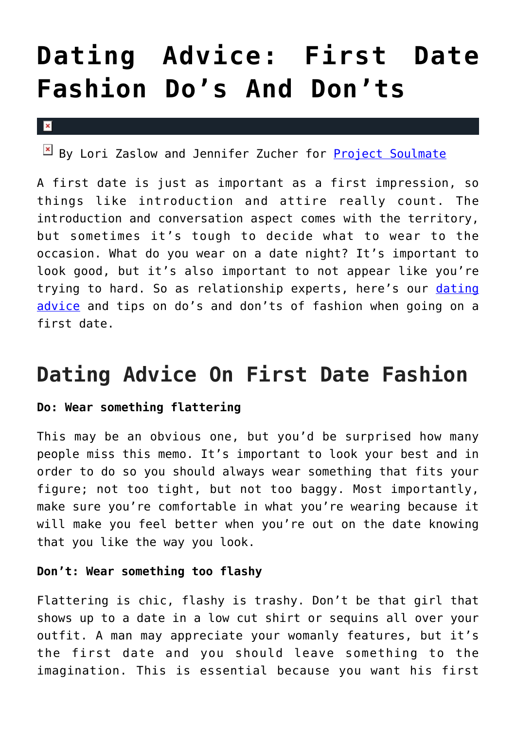# **[Dating Advice: First Date](https://cupidspulse.com/100665/dating-advice-first-date-fashion/) [Fashion Do's And Don'ts](https://cupidspulse.com/100665/dating-advice-first-date-fashion/)**

#### $\vert \mathbf{x} \vert$

 $B$  By Lori Zaslow and Jennifer Zucher for [Project Soulmate](http://www.projectsoulmate.com/)

A first date is just as important as a first impression, so things like introduction and attire really count. The introduction and conversation aspect comes with the territory, but sometimes it's tough to decide what to wear to the occasion. What do you wear on a date night? It's important to look good, but it's also important to not appear like you're trying to hard. So as relationship experts, here's our [dating](http://cupidspulse.com/dating/date-ideas/) [advice](http://cupidspulse.com/dating/date-ideas/) and tips on do's and don'ts of fashion when going on a first date.

# **Dating Advice On First Date Fashion**

# **Do: Wear something flattering**

This may be an obvious one, but you'd be surprised how many people miss this memo. It's important to look your best and in order to do so you should always wear something that fits your figure; not too tight, but not too baggy. Most importantly, make sure you're comfortable in what you're wearing because it will make you feel better when you're out on the date knowing that you like the way you look.

# **Don't: Wear something too flashy**

Flattering is chic, flashy is trashy. Don't be that girl that shows up to a date in a low cut shirt or sequins all over your outfit. A man may appreciate your womanly features, but it's the first date and you should leave something to the imagination. This is essential because you want his first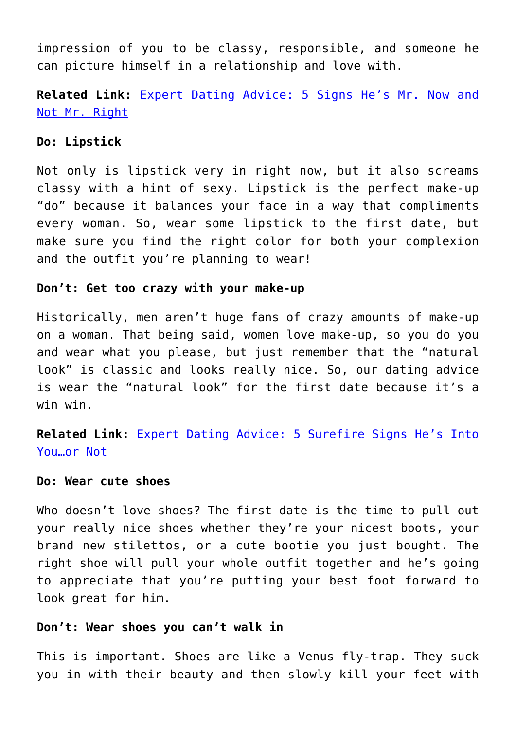impression of you to be classy, responsible, and someone he can picture himself in a relationship and love with.

**Related Link:** [Expert Dating Advice: 5 Signs He's Mr. Now and](http://cupidspulse.com/86628/expert-dating-advice-project-soulmate-mr-now/) [Not Mr. Right](http://cupidspulse.com/86628/expert-dating-advice-project-soulmate-mr-now/)

## **Do: Lipstick**

Not only is lipstick very in right now, but it also screams classy with a hint of sexy. Lipstick is the perfect make-up "do" because it balances your face in a way that compliments every woman. So, wear some lipstick to the first date, but make sure you find the right color for both your complexion and the outfit you're planning to wear!

#### **Don't: Get too crazy with your make-up**

Historically, men aren't huge fans of crazy amounts of make-up on a woman. That being said, women love make-up, so you do you and wear what you please, but just remember that the "natural look" is classic and looks really nice. So, our dating advice is wear the "natural look" for the first date because it's a win win.

**Related Link:** [Expert Dating Advice: 5 Surefire Signs He's Into](http://cupidspulse.com/90170/expert-dating-advice-signs-hes-into-you-or-not/) [You…or Not](http://cupidspulse.com/90170/expert-dating-advice-signs-hes-into-you-or-not/)

### **Do: Wear cute shoes**

Who doesn't love shoes? The first date is the time to pull out your really nice shoes whether they're your nicest boots, your brand new stilettos, or a cute bootie you just bought. The right shoe will pull your whole outfit together and he's going to appreciate that you're putting your best foot forward to look great for him.

#### **Don't: Wear shoes you can't walk in**

This is important. Shoes are like a Venus fly-trap. They suck you in with their beauty and then slowly kill your feet with